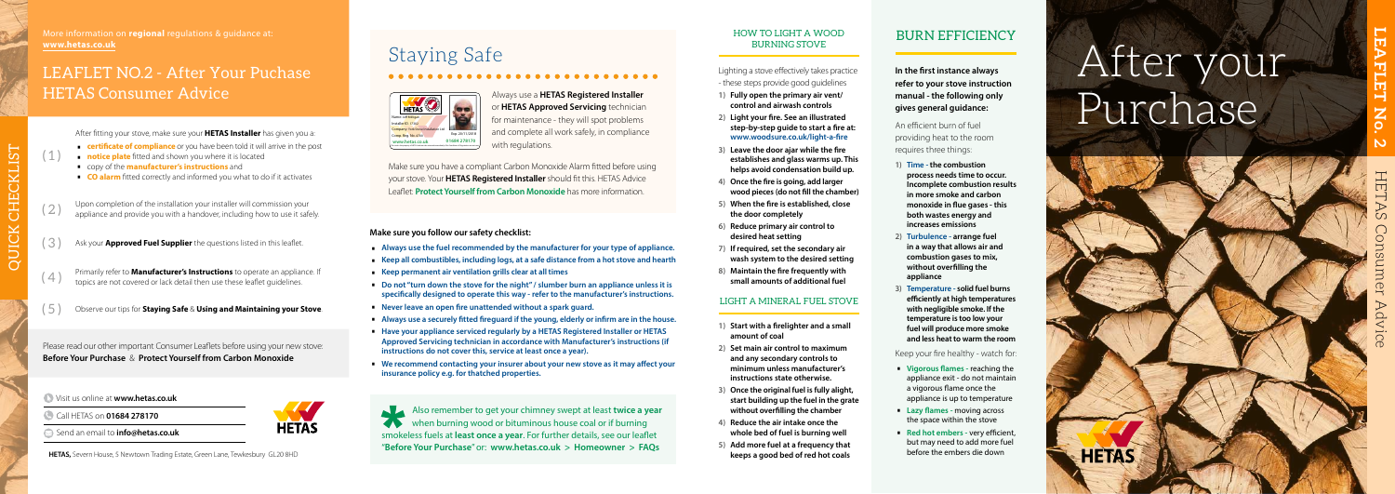# After your Purchase



m



### Visit us online at **www.hetas.co.uk**

- Call HETAS on **01684 278170**
- Send an email to **info@hetas.co.uk**

**HETAS,** Severn House, 5 Newtown Trading Estate, Green Lane, Tewkesbury GL20 8HD **keeps a good bed of red hot coals** 

### HOW TO LIGHT A WOOD BURNING STOVE

- Lighting a stove effectively takes practice - these steps provide good guidelines
- **1) Fully open the primary air vent/ control and airwash controls**
- 

**2) Light your fire. See an illustrated step-by-step guide to start a fire at: www.woodsure.co.uk/light-a-fire**

- **3) Leave the door ajar while the fire establishes and glass warms up. This helps avoid condensation build up.**
- **4) Once the fire is going, add larger wood pieces (do not fill the chamber)**
- **5) When the fire is established, close the door completely**
- **6) Reduce primary air control to desired heat setting**
- **7) If required, set the secondary air wash system to the desired setting**
- **8) Maintain the fire frequently with small amounts of additional fuel**

Always use a **HETAS Registered Installer** or **HETAS Approved Servicing** technician for maintenance - they will spot problems and complete all work safely, in compliance with regulations.

### LIGHT A MINERAL FUEL STOVE

- **1) Start with a firelighter and a small amount of coal**
- **2) Set main air control to maximum and any secondary controls to minimum unless manufacturer's instructions state otherwise.**
- **3) Once the original fuel is fully alight, start building up the fuel in the grate without overfilling the chamber**
- 
- 



- **4) Reduce the air intake once the whole bed of fuel is burning well**
- **5) Add more fuel at a frequency that**

# Staying Safe

Make sure you have a compliant Carbon Monoxide Alarm fitted before using your stove. Your **HETAS Registered Installer** should fit this. HETAS Advice Leaflet: **Protect Yourself from Carbon Monoxide** has more information.



- 
- Always use the fuel recommended by the manufacturer for your type of appliance.<br>
Keep all combustibles, including logs, at a safe distance from a hot stove and hearth<br>
Keep permanent air ventilation grills clear at
- 
- **specifically designed to operate this way refer to the manufacturer's instructions.**
- 
- Never leave an open fire unattended without a spark guard.<br>■ Always use a securely fitted fireguard if the young, elderly or infirm are in the house.<br>■ Have your appliance serviced regularly by a HETAS Registered Instal
- **Approved Servicing technician in accordance with Manufacturer's instructions (if instructions do not cover this, service at least once a year).**
- We recommend contacting your insurer about your new stove as it may affect your **insurance policy e.g. for thatched properties.**

|                                                                            | Also remember to get your chimney swept at least twice a year<br>when burning wood or bituminous house coal or if burning |
|----------------------------------------------------------------------------|---------------------------------------------------------------------------------------------------------------------------|
|                                                                            |                                                                                                                           |
| smokeless fuels at least once a year. For further details, see our leaflet |                                                                                                                           |
| "Before Your Purchase" or: www.hetas.co.uk > Homeowner > FAQs              |                                                                                                                           |

# BURN EFFICIENCY

**In the first instance always refer to your stove instruction manual - the following only gives general guidance:**

An efficient burn of fuel providing heat to the room requires three things:

- **1) Time the combustion process needs time to occur. Incomplete combustion results in more smoke and carbon monoxide in flue gases - this both wastes energy and increases emissions**
- **2) Turbulence arrange fuel in a way that allows air and combustion gases to mix, without overfilling the appliance**
- **3) Temperature solid fuel burns efficiently at high temperatures with negligible smoke. If the temperature is too low your fuel will produce more smoke and less heat to warm the room**

### Keep your fire healthy - watch for:

- ∙ **Vigorous flames** reaching the appliance exit - do not maintain a vigorous flame once the appliance is up to temperature
- **Lazy flames moving across** the space within the stove
- ∙ **Red hot embers** very efficient, but may need to add more fuel before the embers die down

### **Make sure you follow our safety checklist:**

Please read our other important Consumer Leaflets before using your new stove: **Before Your Purchase** & **Protect Yourself from Carbon Monoxide**

- ( 3 ) Ask your **Approved Fuel Supplier** the questions listed in this leaflet.
- (4) Primarily refer to **Manufacturer's Instructions** to operate an appliance. If  $\left(4\right)$
- ( 5 ) Observe our tips for **Staying Safe** & **Using and Maintaining your Stove** .

# LEAFLET NO.2 - After Your Puchase HETAS Consumer Advice

 $(1)$ 

After fitting your stove, make sure your **HETAS Installer** has given you a:<br> **Constant of compliance** or you have been told it will arrive in the post<br> **Constant of the manufacturer's instructions** and<br> **CO alarm** fitted c

- 
- 
- 
- 

(2) Upon completion of the installation your installer will commission your appliance and provide you with a handover, including how to use it safely.

More information on **regional** regulations & guidance at: **www.hetas.co.uk**